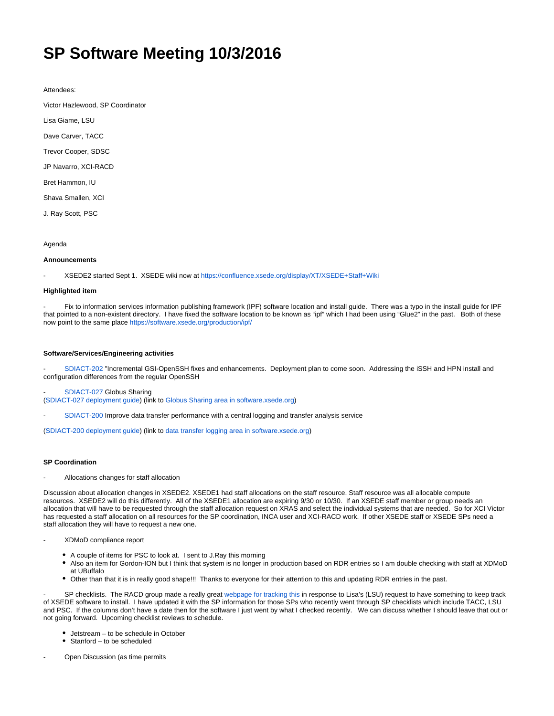# **SP Software Meeting 10/3/2016**

Attendees:

Victor Hazlewood, SP Coordinator

Lisa Giame, LSU

Dave Carver, TACC

Trevor Cooper, SDSC

JP Navarro, XCI-RACD

Bret Hammon, IU

Shava Smallen, XCI

J. Ray Scott, PSC

Agenda

## **Announcements**

- XSEDE2 started Sept 1. XSEDE wiki now at<https://confluence.xsede.org/display/XT/XSEDE+Staff+Wiki>

# **Highlighted item**

Fix to information services information publishing framework (IPF) software location and install guide. There was a typo in the install guide for IPF that pointed to a non-existent directory. I have fixed the software location to be known as "ipf" which I had been using "Glue2" in the past. Both of these now point to the same place<https://software.xsede.org/production/ipf/>

## **Software/Services/Engineering activities**

- [SDIACT-202](https://software.xsede.org/jira/view/SDIACT-202) "Incremental GSI-OpenSSH fixes and enhancements. Deployment plan to come soon. Addressing the iSSH and HPN install and configuration differences from the regular OpenSSH

[SDIACT-027](https://software.xsede.org/jira/view/sdiact-027) Globus Sharing

([SDIACT-027 deployment guide](https://software.xsede.org/production/deployment_plans/XSEDE-Deployment-SDIACT-027-GlobusSharing.pdf)) (link to [Globus Sharing area in software.xsede.org](https://software.xsede.org/production/globus-sharing/))

[SDIACT-200](https://software.xsede.org/jira/view/sdiact-200) Improve data transfer performance with a central logging and transfer analysis service

([SDIACT-200 deployment guide](https://software.xsede.org/production/deployment_plans/XSEDE-Deployment-SDIACT-200-DataTransferLogging.pdf)) (link to [data transfer logging area in software.xsede.org\)](https://software.xsede.org/production/data-transfer-logging/)

#### **SP Coordination**

Allocations changes for staff allocation

Discussion about allocation changes in XSEDE2. XSEDE1 had staff allocations on the staff resource. Staff resource was all allocable compute resources. XSEDE2 will do this differently. All of the XSEDE1 allocation are expiring 9/30 or 10/30. If an XSEDE staff member or group needs an allocation that will have to be requested through the staff allocation request on XRAS and select the individual systems that are needed. So for XCI Victor has requested a staff allocation on all resources for the SP coordination, INCA user and XCI-RACD work. If other XSEDE staff or XSEDE SPs need a staff allocation they will have to request a new one.

- XDMoD compliance report

- A couple of items for PSC to look at. I sent to J.Ray this morning
- Also an item for Gordon-ION but I think that system is no longer in production based on RDR entries so I am double checking with staff at XDMoD  $\bullet$ at UBuffalo
- Other than that it is in really good shape!!! Thanks to everyone for their attention to this and updating RDR entries in the past.

SP checklists. The RACD group made a really great [webpage for tracking this](https://software.xsede.org/use-case-components-sp) in response to Lisa's (LSU) request to have something to keep track of XSEDE software to install. I have updated it with the SP information for those SPs who recently went through SP checklists which include TACC, LSU and PSC. If the columns don't have a date then for the software I just went by what I checked recently. We can discuss whether I should leave that out or not going forward. Upcoming checklist reviews to schedule.

- Jetstream to be schedule in October
- Stanford to be scheduled
- Open Discussion (as time permits